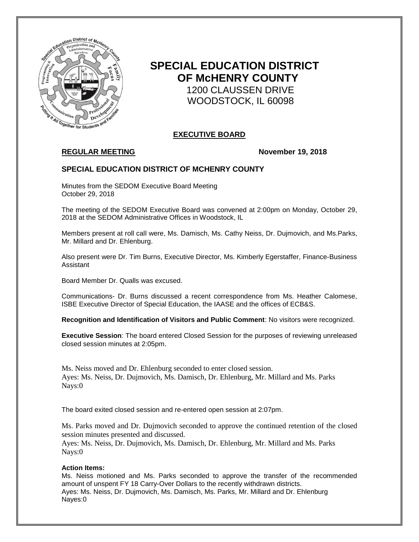

# **SPECIAL EDUCATION DISTRICT OF McHENRY COUNTY** 1200 CLAUSSEN DRIVE WOODSTOCK, IL 60098

# **EXECUTIVE BOARD**

# **REGULAR MEETING November 19, 2018**

## **SPECIAL EDUCATION DISTRICT OF MCHENRY COUNTY**

Minutes from the SEDOM Executive Board Meeting October 29, 2018

The meeting of the SEDOM Executive Board was convened at 2:00pm on Monday, October 29, 2018 at the SEDOM Administrative Offices in Woodstock, IL

Members present at roll call were, Ms. Damisch, Ms. Cathy Neiss, Dr. Dujmovich, and Ms.Parks, Mr. Millard and Dr. Ehlenburg.

Also present were Dr. Tim Burns, Executive Director, Ms. Kimberly Egerstaffer, Finance-Business Assistant

Board Member Dr. Qualls was excused.

Communications- Dr. Burns discussed a recent correspondence from Ms. Heather Calomese, ISBE Executive Director of Special Education, the IAASE and the offices of ECB&S.

**Recognition and Identification of Visitors and Public Comment**: No visitors were recognized.

**Executive Session**: The board entered Closed Session for the purposes of reviewing unreleased closed session minutes at 2:05pm.

Ms. Neiss moved and Dr. Ehlenburg seconded to enter closed session. Ayes: Ms. Neiss, Dr. Dujmovich, Ms. Damisch, Dr. Ehlenburg, Mr. Millard and Ms. Parks Nays:0

The board exited closed session and re-entered open session at 2:07pm.

Ms. Parks moved and Dr. Dujmovich seconded to approve the continued retention of the closed session minutes presented and discussed.

Ayes: Ms. Neiss, Dr. Dujmovich, Ms. Damisch, Dr. Ehlenburg, Mr. Millard and Ms. Parks Nays:0

### **Action Items:**

Ms. Neiss motioned and Ms. Parks seconded to approve the transfer of the recommended amount of unspent FY 18 Carry-Over Dollars to the recently withdrawn districts. Ayes: Ms. Neiss, Dr. Dujmovich, Ms. Damisch, Ms. Parks, Mr. Millard and Dr. Ehlenburg Nayes:0